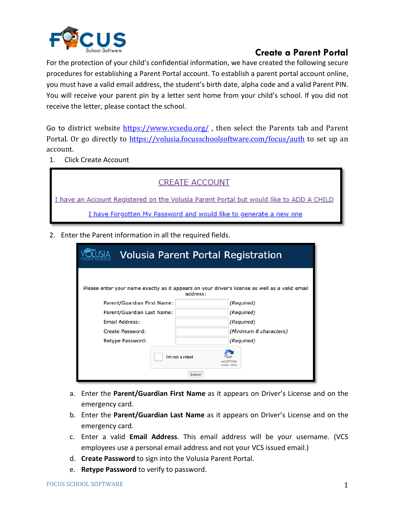

For the protection of your child's confidential information, we have created the following secure procedures for establishing a Parent Portal account. To establish a parent portal account online, you must have a valid email address, the student's birth date, alpha code and a valid Parent PIN. You will receive your parent pin by a letter sent home from your child's school. If you did not receive the letter, please contact the school.

Go to district website  $\frac{https://www.vcsedu.org/}{https://www.vcsedu.org/}$ , then select the Parents tab and Parent Portal. Or go directly to<https://volusia.focusschoolsoftware.com/focus/auth> to set up an account.

1. Click Create Account

| <b>CREATE ACCOUNT</b>                                                                   |
|-----------------------------------------------------------------------------------------|
| I have an Account Registered on the Volusia Parent Portal but would like to ADD A CHILD |
| I have Forgotten My Password and would like to generate a new one                       |

2. Enter the Parent information in all the required fields.

| <b>Volusia Parent Portal Registration</b>                                                      |                                              |                        |  |  |
|------------------------------------------------------------------------------------------------|----------------------------------------------|------------------------|--|--|
| Please enter your name exactly as it appears on your driver's license as well as a valid email | address:                                     |                        |  |  |
| Parent/Guardian First Name:                                                                    |                                              | (Required)             |  |  |
| Parent/Guardian Last Name:                                                                     |                                              | (Required)             |  |  |
| Email Address:                                                                                 |                                              | (Required)             |  |  |
| Create Password:                                                                               |                                              | (Minimum 8 characters) |  |  |
| Retype Password:                                                                               |                                              | (Required)             |  |  |
|                                                                                                | I'm not a robot<br>Privacy - Terms<br>Submit |                        |  |  |

- a. Enter the **Parent/Guardian First Name** as it appears on Driver's License and on the emergency card.
- b. Enter the **Parent/Guardian Last Name** as it appears on Driver's License and on the emergency card.
- c. Enter a valid **Email Address**. This email address will be your username. (VCS employees use a personal email address and not your VCS issued email.)
- d. **Create Password** to sign into the Volusia Parent Portal.
- e. **Retype Password** to verify to password.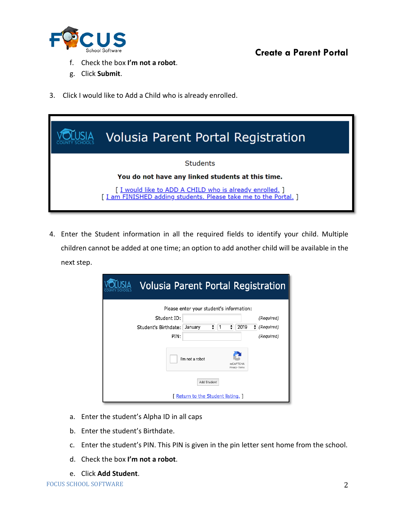

- f. Check the box **I'm not a robot**.
- g. Click **Submit**.
- 3. Click I would like to Add a Child who is already enrolled.

| Volusia Parent Portal Registration                                                                                           |
|------------------------------------------------------------------------------------------------------------------------------|
| <b>Students</b>                                                                                                              |
| You do not have any linked students at this time.                                                                            |
| [ I would like to ADD A CHILD who is already enrolled. ]<br>[ I am FINISHED adding students. Please take me to the Portal. ] |

4. Enter the Student information in all the required fields to identify your child. Multiple children cannot be added at one time; an option to add another child will be available in the next step.

|                                 | <b>Volusia Parent Portal Registration</b> |
|---------------------------------|-------------------------------------------|
|                                 | Please enter your student's information:  |
| Student ID:                     | (Required)                                |
| Student's Birthdate:<br>January | 2019<br>÷<br>÷<br>÷<br>(Required)<br>1    |
| PIN:                            | (Required)                                |
| I'm not a robot                 | reCAPTCHA<br>Privacy - Terms              |
|                                 | Add Student                               |
|                                 | [ Return to the Student listing, ]        |

- a. Enter the student's Alpha ID in all caps
- b. Enter the student's Birthdate.
- c. Enter the student's PIN. This PIN is given in the pin letter sent home from the school.
- d. Check the box **I'm not a robot**.
- e. Click **Add Student**.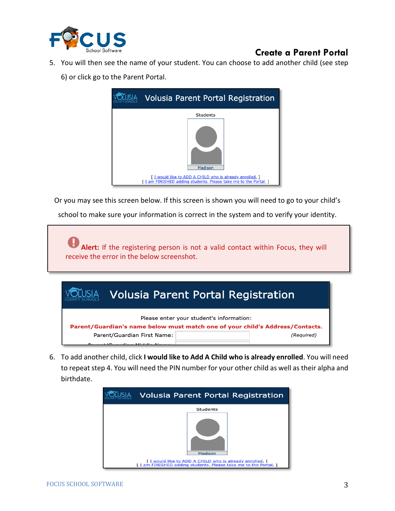

5. You will then see the name of your student. You can choose to add another child (see step 6) or click go to the Parent Portal.

| <b>Volusia Parent Portal Registration</b>                                                                                  |
|----------------------------------------------------------------------------------------------------------------------------|
| Students                                                                                                                   |
| Madison                                                                                                                    |
| [I would like to ADD A CHILD who is already enrolled.]<br>[ I am FINISHED adding students. Please take me to the Portal. ] |

Or you may see this screen below. If this screen is shown you will need to go to your child's school to make sure your information is correct in the system and to verify your identity.

**Alert:** If the registering person is not a valid contact within Focus, they will receive the error in the below screenshot.

|                                          | <b>Volusia Parent Portal Registration</b>                                     |            |  |
|------------------------------------------|-------------------------------------------------------------------------------|------------|--|
| Please enter your student's information: |                                                                               |            |  |
|                                          | Parent/Guardian's name below must match one of your child's Address/Contacts. |            |  |
| Parent/Guardian First Name:              |                                                                               | (Required) |  |
|                                          |                                                                               |            |  |

6. To add another child, click **I would like to Add A Child who is already enrolled**. You will need to repeat step 4. You will need the PIN number for your other child as well as their alpha and birthdate.

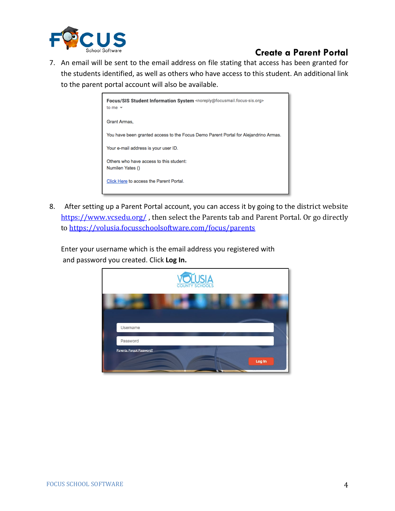

7. An email will be sent to the email address on file stating that access has been granted for the students identified, as well as others who have access to this student. An additional link to the parent portal account will also be available.



8. After setting up a Parent Portal account, you can access it by going to the district website <https://www.vcsedu.org/>, then select the Parents tab and Parent Portal. Or go directly t[o https://volusia.focusschoolsoftware.com/focus/parents](https://volusia.focusschoolsoftware.com/focus/parents)

Enter your username which is the email address you registered with and password you created. Click **Log In.**

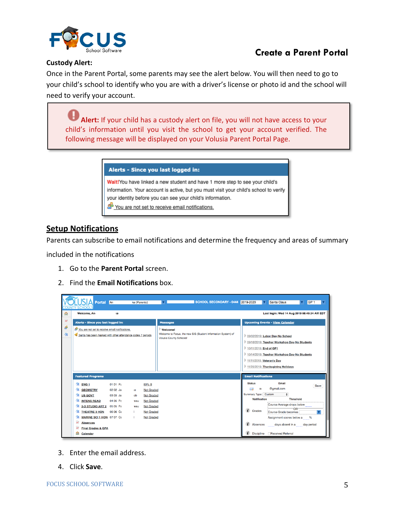

#### **Custody Alert:**

Once in the Parent Portal, some parents may see the alert below. You will then need to go to your child's school to identify who you are with a driver's license or photo id and the school will need to verify your account.

**Alert:** If your child has a custody alert on file, you will not have access to your child's information until you visit the school to get your account verified. The following message will be displayed on your Volusia Parent Portal Page.

#### Alerts - Since you last logged in:

Wait!You have linked a new student and have 1 more step to see your child's information. Your account is active, but you must visit your child's school to verify your identity before you can see your child's information.

You are not set to receive email notifications.

### **Setup Notifications**

Parents can subscribe to email notifications and determine the frequency and areas of summary

included in the notifications

- 1. Go to the **Parent Portal** screen.
- 2. Find the **Email Notifications** box.

|                                       | $S A$ Portal An                                                         | ke (Parents)                                      | SCHOOL SECONDARY - 0444 2019-2020<br>◘                                                   | Santa Claus<br>GP <sub>1</sub>                                               |
|---------------------------------------|-------------------------------------------------------------------------|---------------------------------------------------|------------------------------------------------------------------------------------------|------------------------------------------------------------------------------|
| 佥                                     | Welcome, An<br>œ                                                        |                                                   |                                                                                          | Last login: Wed 14 Aug 2019 08:49:34 AM EDT                                  |
| $\mathsf{A}^{\widetilde{\mathsf{F}}}$ | Alerts - Since you last logged in:                                      |                                                   | <b>Messages</b>                                                                          | <b>Upcoming Events - View Calendar</b>                                       |
| தி                                    | You are not set to receive email notifications.                         |                                                   | <b>Welcome!</b>                                                                          |                                                                              |
| 弥                                     | Santa has been marked with other attendance codes 7 periods             |                                                   | Welcome to Focus, the new SIS (Student Information System) of<br>Volusia County Schools! | 09/02/2019: Labor Day-No School                                              |
|                                       |                                                                         |                                                   |                                                                                          | 09/16/2019: Teacher Workshop Day-No Students                                 |
|                                       |                                                                         |                                                   |                                                                                          | 10/11/2019: End of GP1                                                       |
|                                       |                                                                         |                                                   |                                                                                          | 10/14/2019: Teacher Workshop Day-No Students                                 |
|                                       |                                                                         |                                                   |                                                                                          | 11/11/2019: Veteran's Day                                                    |
|                                       |                                                                         |                                                   |                                                                                          | 11/25/2019: Thanksgiving Holidays                                            |
|                                       | <b>Featured Programs</b>                                                |                                                   |                                                                                          | <b>Email Notifications</b>                                                   |
|                                       | 图 ENG 1<br>01 01 Pa                                                     | 89% B                                             |                                                                                          | Email<br><b>Status</b><br>Save                                               |
|                                       | <b>A GEOMETRY</b><br>02 02 Ja                                           | <b>Not Graded</b><br><b>ie</b>                    |                                                                                          | @gmail.com<br>S(<br>⊠                                                        |
|                                       | <b>A US GOVT</b><br>03 03 Je                                            | <b>Not Graded</b><br>ob                           |                                                                                          | Summary Type: Custom<br>$\bullet$<br><b>Threshold</b><br><b>Notification</b> |
|                                       | 孢<br><b>INTENS READ</b><br>04 05 Pa                                     | <b>Not Graded</b><br>eau                          |                                                                                          | Course Average drops below                                                   |
|                                       | 仾<br>2-D STUDIO ART 2 05 05 Pa<br>仮<br><b>THEATRE 3 HON</b><br>06 06 Ca | <b>Not Graded</b><br>reau                         |                                                                                          | OR <sup>-</sup><br>i<br>Grades                                               |
|                                       | クロ<br>MARINE SCI 1 HON 07 07 Ca                                         | <b>Not Graded</b><br>т<br><b>Not Graded</b><br>т. |                                                                                          | Course Grade becomes<br>Assignment scores below a<br>$\%$                    |
|                                       | ٨f<br><b>Absences</b>                                                   |                                                   |                                                                                          |                                                                              |
|                                       | $\mathsf{A}^{\varphi}$<br><b>Final Grades &amp; GPA</b>                 |                                                   |                                                                                          | Absences<br>days absent in a<br>day period                                   |
|                                       | 金<br>Calendar                                                           |                                                   |                                                                                          | □ Received Referral<br><b>Discipline</b>                                     |

- 3. Enter the email address.
- 4. Click **Save**.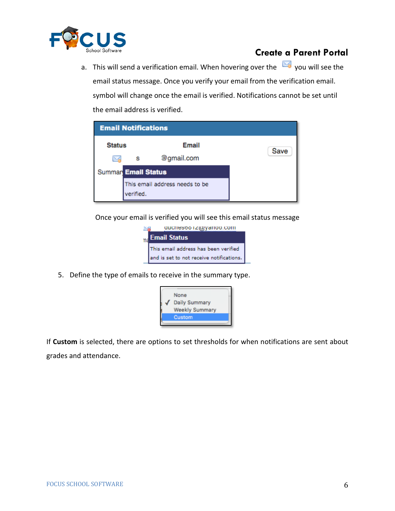

a. This will send a verification email. When hovering over the  $\boxtimes$  you will see the email status message. Once you verify your email from the verification email. symbol will change once the email is verified. Notifications cannot be set until the email address is verified.

| <b>Email Notifications</b> |                                             |            |      |
|----------------------------|---------------------------------------------|------------|------|
| <b>Status</b>              |                                             | Email      | Save |
|                            | s                                           | @gmail.com |      |
| <b>Summar Email Status</b> |                                             |            |      |
|                            | This email address needs to be<br>verified. |            |      |

Once your email is verified you will see this email status message



5. Define the type of emails to receive in the summary type.



If **Custom** is selected, there are options to set thresholds for when notifications are sent about grades and attendance.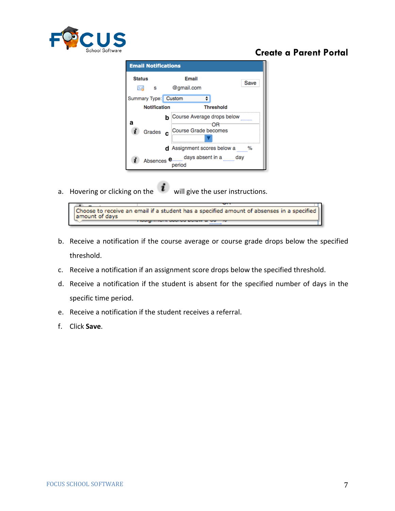

| <b>Email Notifications</b>                  |                                                                                      |      |
|---------------------------------------------|--------------------------------------------------------------------------------------|------|
| <b>Status</b><br><b>S</b>                   | Email<br>@gmail.com                                                                  | Save |
| Summary Type: Custom<br><b>Notification</b> | <b>Threshold</b>                                                                     |      |
| а<br>Grades c                               | <b>b</b> Course Average drops below<br>Course Grade becomes                          |      |
|                                             | <b>d</b> Assignment scores below a<br>Absences e days absent in a same day<br>period | %    |

a. Hovering or clicking on the  $\boldsymbol{i}$  will give the user instructions.



- b. Receive a notification if the course average or course grade drops below the specified threshold.
- c. Receive a notification if an assignment score drops below the specified threshold.
- d. Receive a notification if the student is absent for the specified number of days in the specific time period.
- e. Receive a notification if the student receives a referral.
- f. Click **Save**.